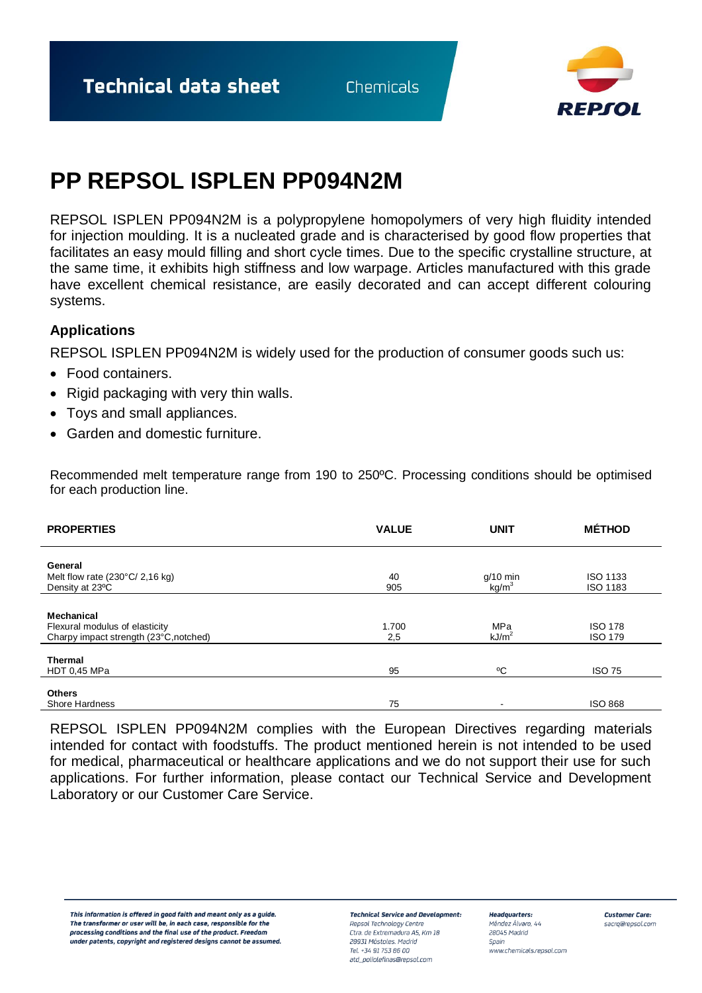**Technical data sheet** 

Chemicals



## **PP REPSOL ISPLEN PP094N2M**

REPSOL ISPLEN PP094N2M is a polypropylene homopolymers of very high fluidity intended for injection moulding. It is a nucleated grade and is characterised by good flow properties that facilitates an easy mould filling and short cycle times. Due to the specific crystalline structure, at the same time, it exhibits high stiffness and low warpage. Articles manufactured with this grade have excellent chemical resistance, are easily decorated and can accept different colouring systems.

## **Applications**

REPSOL ISPLEN PP094N2M is widely used for the production of consumer goods such us:

- Food containers.
- Rigid packaging with very thin walls.
- Toys and small appliances.
- Garden and domestic furniture.

Recommended melt temperature range from 190 to 250ºC. Processing conditions should be optimised for each production line.

| <b>PROPERTIES</b>                               | <b>VALUE</b> | <b>UNIT</b>                     | <b>MÉTHOD</b>   |
|-------------------------------------------------|--------------|---------------------------------|-----------------|
| General                                         |              |                                 |                 |
| Melt flow rate $(230^{\circ}C/2,16 \text{ kg})$ | 40           |                                 | <b>ISO 1133</b> |
| Density at 23°C                                 | 905          | $g/10$ min<br>kg/m <sup>3</sup> | ISO 1183        |
|                                                 |              |                                 |                 |
|                                                 |              |                                 |                 |
| Mechanical                                      |              |                                 |                 |
| Flexural modulus of elasticity                  | 1.700        | MPa                             | <b>ISO 178</b>  |
| Charpy impact strength (23°C, notched)          | 2,5          | kJ/m <sup>2</sup>               | <b>ISO 179</b>  |
|                                                 |              |                                 |                 |
| <b>Thermal</b>                                  |              |                                 |                 |
| <b>HDT 0.45 MPa</b>                             | 95           | °C                              | <b>ISO 75</b>   |
|                                                 |              |                                 |                 |
| <b>Others</b>                                   |              |                                 |                 |
| Shore Hardness                                  | 75           | $\overline{\phantom{0}}$        | <b>ISO 868</b>  |

REPSOL ISPLEN PP094N2M complies with the European Directives regarding materials intended for contact with foodstuffs. The product mentioned herein is not intended to be used for medical, pharmaceutical or healthcare applications and we do not support their use for such applications. For further information, please contact our Technical Service and Development Laboratory or our Customer Care Service.

This information is offered in good faith and meant only as a guide. The transformer or user will be, in each case, responsible for the processing conditions and the final use of the product. Freedom under patents, copyright and registered designs cannot be assumed

**Technical Service and Development:** Repsol Technology Centre

Ctra, de Extremadura A5, Km 18 28931 Móstoles, Madrid Tel. +34 91 753 86 00 atd\_poliolefinas@repsol.com

**Headquarters:** Méndez Álvaro, 44 28045 Madrid Spain www.chemicals.repsol.com **Customer Care:** sacrg@repsol.com